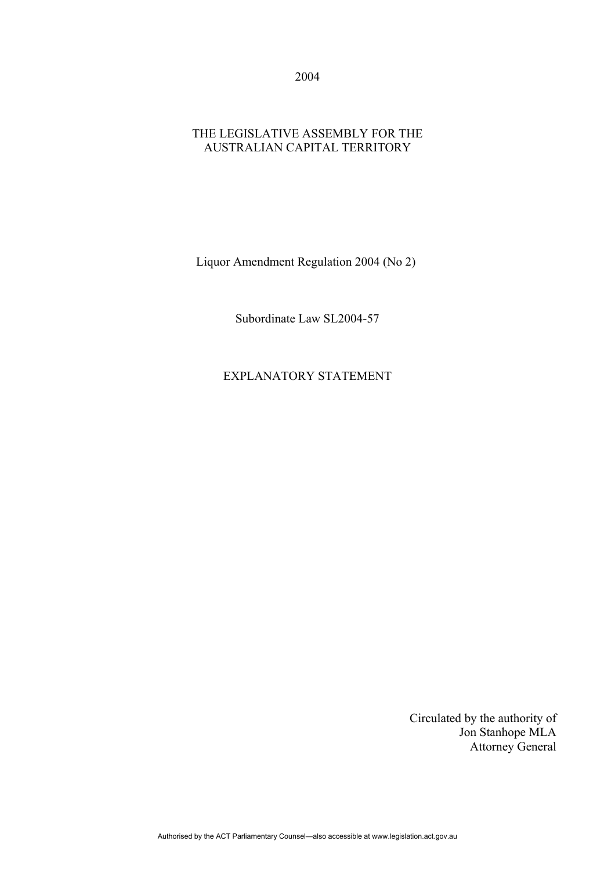2004

## THE LEGISLATIVE ASSEMBLY FOR THE AUSTRALIAN CAPITAL TERRITORY

Liquor Amendment Regulation 2004 (No 2)

Subordinate Law SL2004-57

EXPLANATORY STATEMENT

Circulated by the authority of Jon Stanhope MLA Attorney General